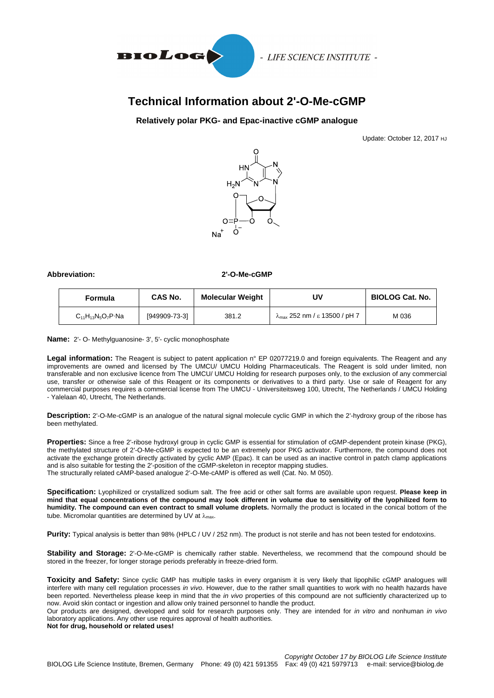

# **Technical Information about 2'-O-Me-cGMP**

## **Relatively polar PKG- and Epac-inactive cGMP analogue**

Update: October 12, 2017 HJ



**Abbreviation: 2'-O-Me-cGMP**

| Formula                   | CAS No.       | <b>Molecular Weight</b> | UV                                             | <b>BIOLOG Cat. No.</b> |
|---------------------------|---------------|-------------------------|------------------------------------------------|------------------------|
| $C_{11}H_{13}N_5O_7P_1Na$ | [949909-73-3] | 381.2                   | $\lambda_{\text{max}}$ 252 nm / ε 13500 / pH 7 | M 036                  |

**Name:** 2'- O- Methylguanosine- 3', 5'- cyclic monophosphate

Legal information: The Reagent is subject to patent application n° EP 02077219.0 and foreign equivalents. The Reagent and any improvements are owned and licensed by The UMCU/ UMCU Holding Pharmaceuticals. The Reagent is sold under limited, non transferable and non exclusive licence from The UMCU/ UMCU Holding for research purposes only, to the exclusion of any commercial use, transfer or otherwise sale of this Reagent or its components or derivatives to a third party. Use or sale of Reagent for any commercial purposes requires a commercial license from The UMCU - Universiteitsweg 100, Utrecht, The Netherlands / UMCU Holding - Yalelaan 40, Utrecht, The Netherlands.

**Description:** 2'-O-Me-cGMP is an analogue of the natural signal molecule cyclic GMP in which the 2'-hydroxy group of the ribose has been methylated.

**Properties:** Since a free 2'-ribose hydroxyl group in cyclic GMP is essential for stimulation of cGMP-dependent protein kinase (PKG), the methylated structure of 2'-O-Me-cGMP is expected to be an extremely poor PKG activator. Furthermore, the compound does not activate the exchange protein directly activated by cyclic AMP (Epac). It can be used as an inactive control in patch clamp applications and is also suitable for testing the 2'-position of the cGMP-skeleton in receptor mapping studies. The structurally related cAMP-based analogue 2'-O-Me-cAMP is offered as well (Cat. No. M 050).

**Specification:** Lyophilized or crystallized sodium salt. The free acid or other salt forms are available upon request. **Please keep in mind that equal concentrations of the compound may look different in volume due to sensitivity of the lyophilized form to humidity. The compound can even contract to small volume droplets.** Normally the product is located in the conical bottom of the tube. Micromolar quantities are determined by UV at  $\lambda_{\text{max}}$ .

**Purity:** Typical analysis is better than 98% (HPLC / UV / 252 nm). The product is not sterile and has not been tested for endotoxins.

**Stability and Storage:** 2'-O-Me-cGMP is chemically rather stable. Nevertheless, we recommend that the compound should be stored in the freezer, for longer storage periods preferably in freeze-dried form.

**Toxicity and Safety:** Since cyclic GMP has multiple tasks in every organism it is very likely that lipophilic cGMP analogues will interfere with many cell regulation processes *in vivo*. However, due to the rather small quantities to work with no health hazards have been reported. Nevertheless please keep in mind that the *in vivo* properties of this compound are not sufficiently characterized up to now. Avoid skin contact or ingestion and allow only trained personnel to handle the product.

Our products are designed, developed and sold for research purposes only. They are intended for *in vitro* and nonhuman *in vivo* laboratory applications. Any other use requires approval of health authorities.

**Not for drug, household or related uses!**